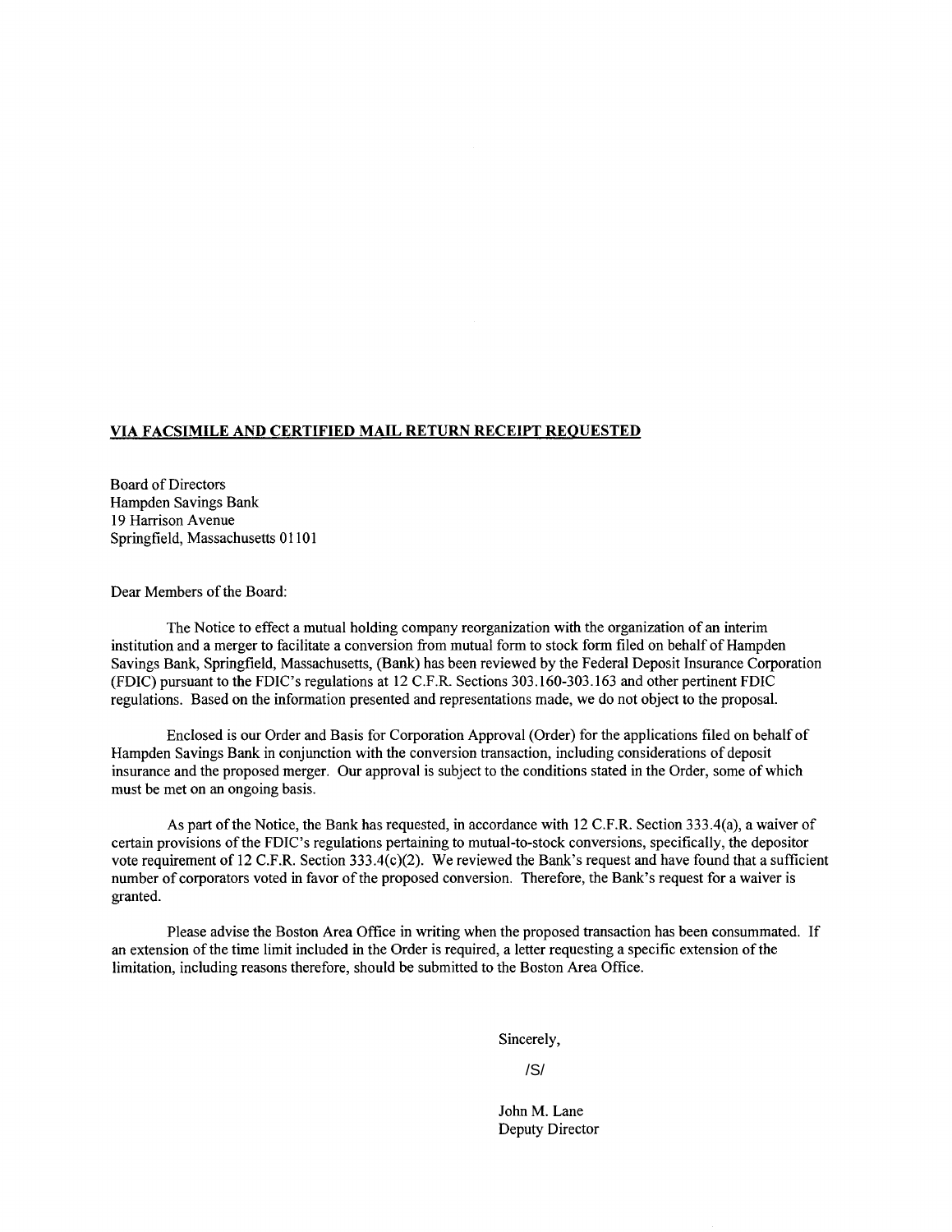## **VIA FACSIMILE AND CERTIFIED MAIL RETURN RECEIPT REQUESTED**

Board of Directors Hampden Savings Bank 19 Harrison Avenue Springfield, Massachusetts 01101

Dear Members of the Board:

The Notice to effect a mutual holding company reorganization with the organization of an interim institution and a merger to facilitate a conversion from mutual form to stock form filed on behalf of Hampden Savings Bank, Springfield, Massachusetts, (Bank) has been reviewed by the Federal Deposit Insurance Corporation (FDIC) pursuant to the FDIC's regulations at 12 C.F.R. Sections 303.160-303.163 and other pertinent FDIC regulations. Based on the information presented and representations made, we do not object to the proposal.

Enclosed is our Order and Basis for Corporation Approval (Order) for the applications filed on behalf of Hampden Savings Bank in conjunction with the conversion transaction, including considerations of deposit insurance and the proposed merger. Our approval is subject to the conditions stated in the Order, some of which must be met on an ongoing basis.

As part of the Notice, the Bank has requested, in accordance with 12 C.F.R. Section 333.4(a), a waiver of certain provisions of the FDIC's regulations pertaining to mutual-to-stock conversions, specifically, the depositor vote requirement of 12 C.F.R. Section 333.4(c)(2). We reviewed the Bank's request and have found that a sufficient number of corporators voted in favor of the proposed conversion. Therefore, the Bank's request for a waiver is granted.

Please advise the Boston Area Office in writing when the proposed transaction has been consummated. If an extension of the time limit included in the Order is required, a letter requesting a specific extension of the limitation, including reasons therefore, should be submitted to the Boston Area Office.

Sincerely,

/S/

John M. Lane Deputy Director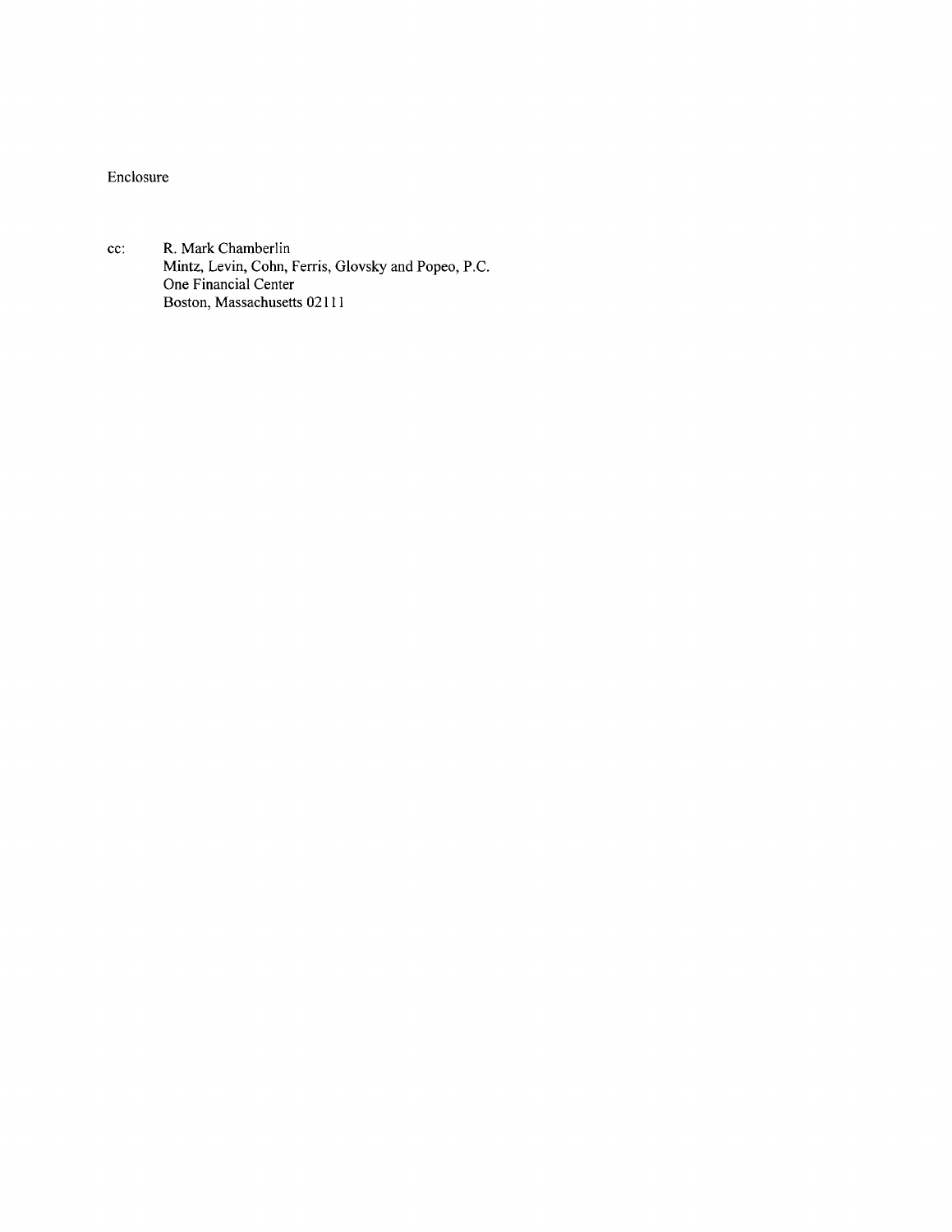Enclosure

cc: R. Mark Chamberlin Mintz, Levin, Cohn, Ferris, Glovsky and Popeo, P.C. One Financial Center Boston, Massachusetts 02111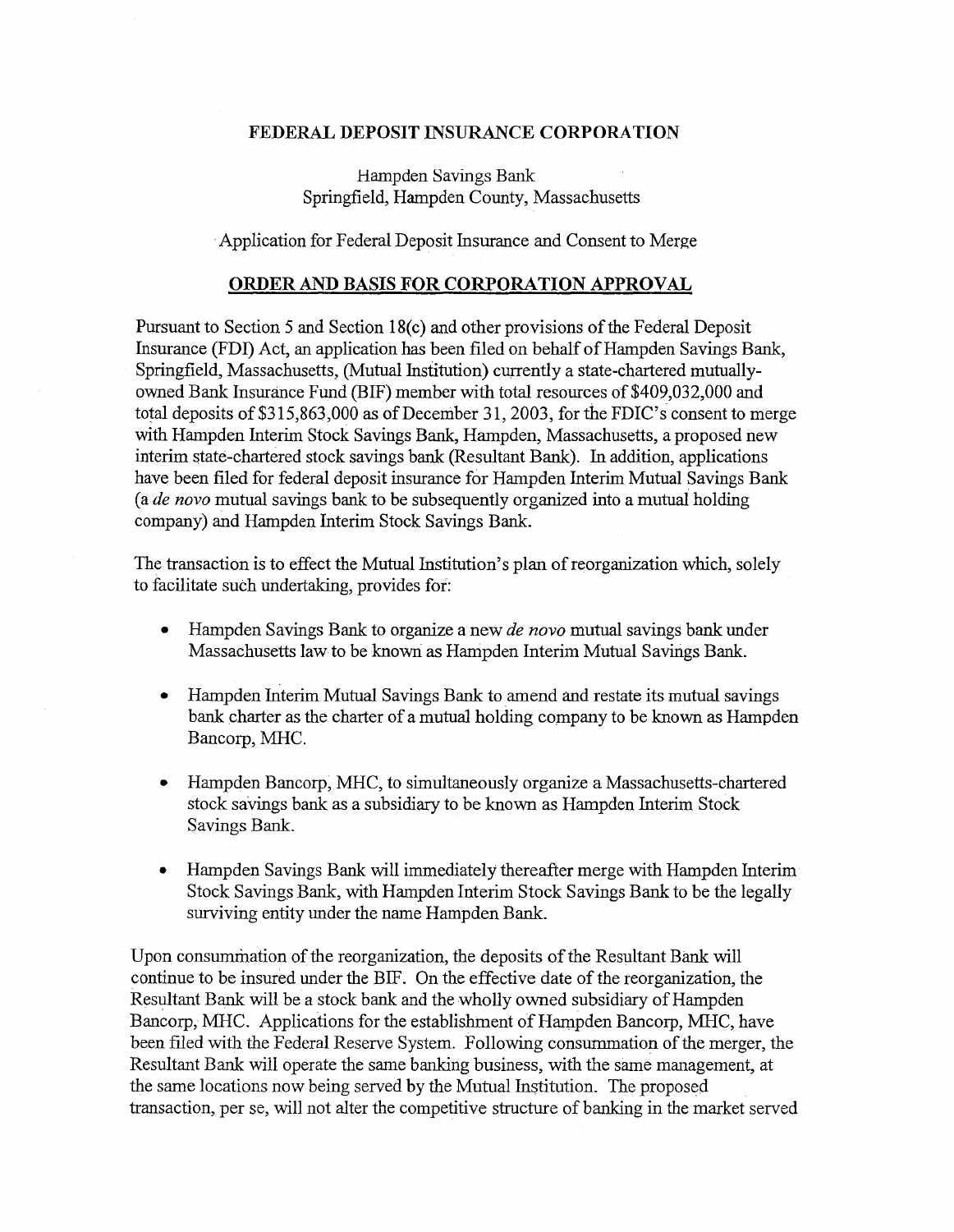## **FEDERAL DEPOSIT** INSURANCE **CORPORATION**

Hampden Savings Bank Springfield, Hampden County, Massachusetts

·Application for Federal Deposit Insurance and Consent to Merge

## **ORDER AND BASIS FOR CORPORATION APPROVAL**

Pursuant to Section 5 and Section 18(c) and other provisions of the Federal Deposit Insurance (FDI) Act, an application has been filed on behalf of Hampden Savings Bank, Springfield, Massachusetts, (Mutual Institution) currently a state-chartered mutuallyowned Bank Insurance Fund (BIF) member with total resources of \$409,032,000 and total deposits of \$315,863,000 as of December 31, 2003, for the FDIC's consent to merge with Hampden Interim Stock Savings Bank, Hampden, Massachusetts, a proposed new interim state-chartered stock savings bank (Resultant Bank). In addition, applications have been filed for federal deposit insurance for Hampden Interim Mutual Savings Bank (a *de novo* mutual savings bank to be subsequently organized into a mutual holding company) and Hampden Interim Stock Savings Bank.

The transaction is to effect the Mutual Institution's plan of reorganization which, solely to facilitate such undertaking, provides for:

- Hampden Savings Bank to organize a new *de novo* mutual savings bank under Massachusetts law to be known as Hampden Interim Mutual Savings Bank.
- Hampden Interim Mutual Savings Bank to amend and restate its mutual savings bank charter as the charter of a mutual holding company to be known as Hampden Bancorp, MHC.
- Hampden Bancorp, MHC, to simultaneously organize a Massachusetts-chartered stock savings bank as a subsidiary to be known as Hampden Interim Stock Savings Bank.
- Hampden Savings Bank will immediately thereafter merge with Hampden Interim Stock Savings Bank, with Hampden Interim Stock Savings Bank to be the legally surviving entity under the name Hampden Bank.

Upon consummation of the reorganization, the deposits of the Resultant Bank will continue to be insured under the BIF. On the effective date of the reorganization, the Resultant Bank will be a stock bank and the wholly owned subsidiary of Hampden Bancorp, MHC. Applications for the establishment of Hampden Bancorp, MHC, have been filed with the Federal Reserve System. Following consummation of the merger, the Resultant Bank will operate the same banking business, with the same management, at the same locations now being served by the Mutual Institution. The proposed transaction, per se, will not alter the competitive structure of banking in the market served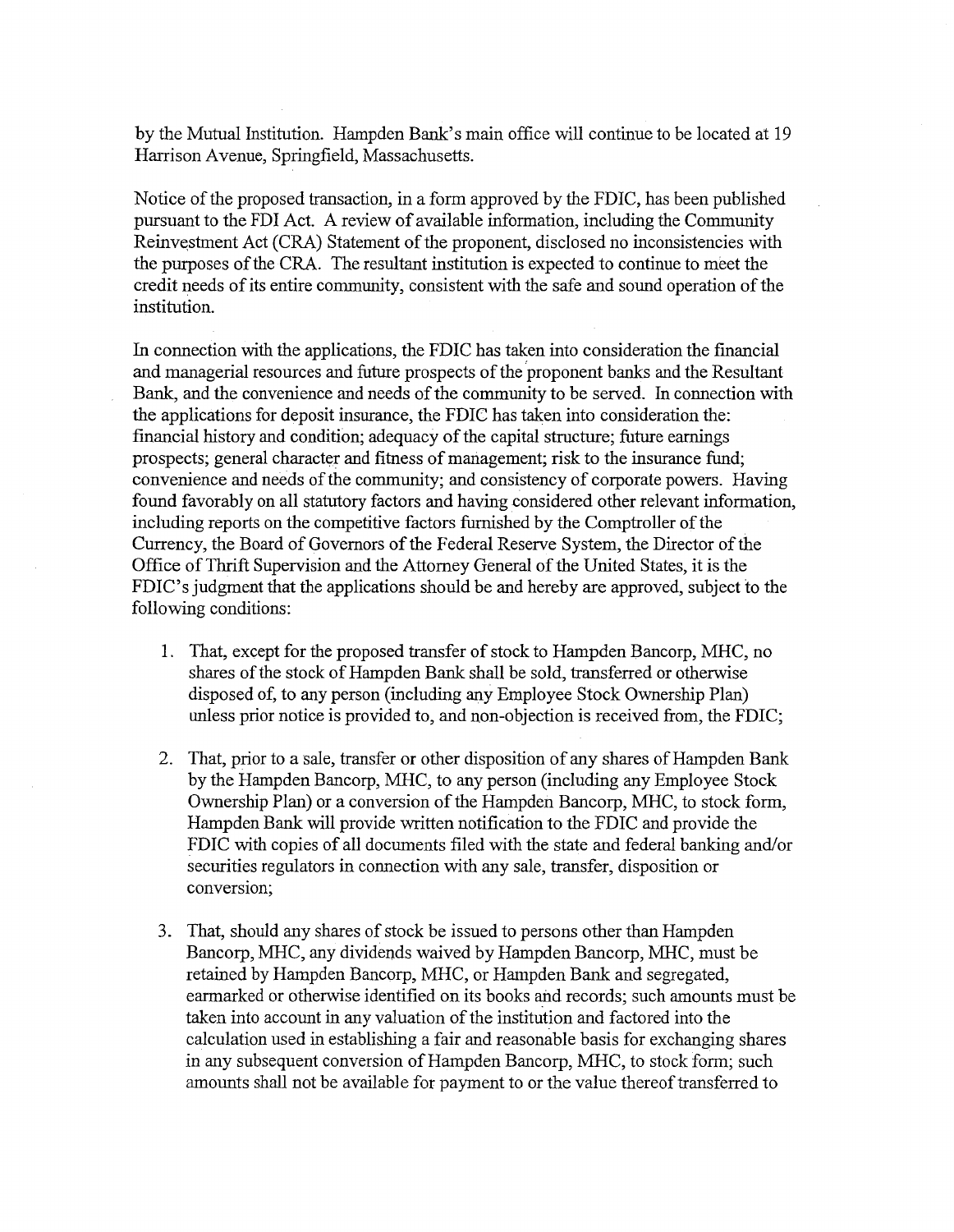by the Mutual Institution. Hampden Bank's main office will continue to be located at 19 Harrison A venue, Springfield, Massachusetts.

Notice of the proposed transaction, in a form approved by the FDIC, has been published pursuant to the FDI Act. A review of available information, including the Community Reinvestment Act (CRA) Statement of the proponent, disclosed no inconsistencies with the purposes of the CRA. The resultant institution is expected to continue to meet the credit needs of its entire community, consistent with the safe and sound operation of the institution.

In connection with the applications, the FDIC has taken into consideration the financial and managerial resources and future prospects of the proponent banks and the Resultant Bank, and the convenience and needs of the community to be served. In connection with the applications for deposit insurance, the FDIC has taken into consideration the: fmancial history and condition; adequacy of the capital structure; future earnings prospects; general character and fitness of management; risk to the insurance fund; convenience and needs of the community; and consistency of corporate powers. Having found favorably on all statutory factors and having considered other relevant information, including reports on the competitive factors furnished by the Comptroller of the Currency, the Board of Governors of the Federal Reserve System, the Director of the Office of Thrift Supervision and the Attorney General of the United States, it is the FDIC's judgment that the applications should be and hereby are approved, subject to the following conditions:

- 1. That, except for the proposed transfer of stock to Hampden Bancorp, MHC, no shares of the stock of Hampden Bank shall be sold, transferred or otherwise disposed of, to any person (including any Employee Stock Ownership Plan) unless prior notice is provided to, and non-objection is received from, the FDIC;
- 2. That, prior to a sale, transfer or other disposition of any shares of Hampden Bank by the Hampden Bancorp, MHC, to any person (including any Employee Stock Ownership Plan) or a conversion of the Hampden Bancorp, MHC, to stock form, Hampden Bank will provide written notification to the FDIC and provide the FDIC with copies of all documents filed with the state and federal banking and/or securities regulators in connection with any sale, transfer, disposition or conversion;
- 3. That, should any shares of stock be issued to persons other than Hampden Bancorp, MHC, any dividends waived by Hampden Bancorp, MHC, must be retained by Hampden Bancorp, MHC, or Hampden Bank and segregated, earmarked or otherwise identified on its books and records; such amounts must be taken into account in any valuation of the institution and factored into the calculation used in establishing a fair and reasonable basis for exchanging shares in any subsequent conversion of Hampden Bancorp, MHC, to stock form; such amounts shall not be available for payment to or the value thereof transferred to